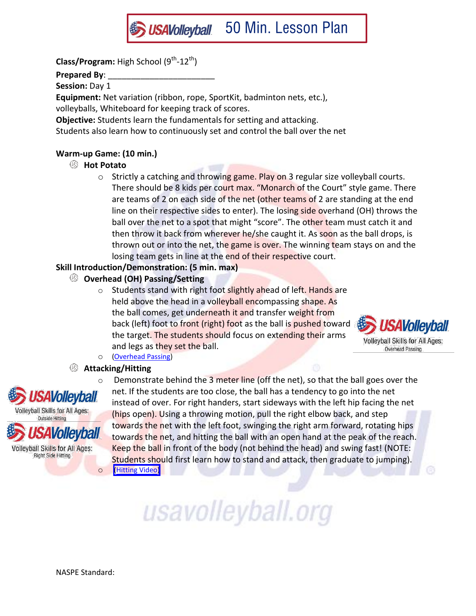

**Prepared By**: \_\_\_\_\_\_\_\_\_\_\_\_\_\_\_\_\_\_\_\_\_\_\_

**Session:** Day 1

**Equipment:** Net variation (ribbon, rope, SportKit, badminton nets, etc.),

volleyballs, Whiteboard for keeping track of scores.

**Objective:** Students learn the fundamentals for setting and attacking.

Students also learn how to continuously set and control the ball over the net

# **Warm-up Game: (10 min.)**

# **Hot Potato**

 $\circ$  Strictly a catching and throwing game. Play on 3 regular size volleyball courts. There should be 8 kids per court max. "Monarch of the Court" style game. There are teams of 2 on each side of the net (other teams of 2 are standing at the end line on their respective sides to enter). The losing side overhand (OH) throws the ball over the net to a spot that might "score". The other team must catch it and then throw it back from wherever he/she caught it. As soon as the ball drops, is thrown out or into the net, the game is over. The winning team stays on and the losing team gets in line at the end of their respective court.

# **Skill Introduction/Demonstration: (5 min. max)**

# **Overhead (OH) Passing/Setting**

o Students stand with right foot slightly ahead of left. Hands are held above the head in a volleyball encompassing shape. As the ball comes, get underneath it and transfer weight from back (left) foot to front (right) foot as the ball is pushed toward the target. The students should focus on extending their arms and legs as they set the ball.



o [\(Overhead Passing\)](https://usavolleyball.org/video/usav-skill-video-overhead-passing/)

# **Attacking/Hitting**



**Wolleyball** 

**Volleyball Skills for All Ages: Right Side Hitting** 

 $\circ$  Demonstrate behind the 3 meter line (off the net), so that the ball goes over the net. If the students are too close, the ball has a tendency to go into the net instead of over. For right handers, start sideways with the left hip facing the net (hips open). Using a throwing motion, pull the right elbow back, and step towards the net with the left foot, swinging the right arm forward, rotating hips towards the net, and hitting the ball with an open hand at the peak of the reach. Keep the ball in front of the body (not behind the head) and swing fast! (NOTE: Students should first learn how to stand and attack, then graduate to jumping). o [\(Hitting Vide](http://www.teamusa.org/USA-Volleyball/Video/2013/12/13/USAV-Skill-Video-Hitting?channel=AxaDRnazoIZ1U8fo-4cLMzn4EDvtFICe#ooid=t5Y3VpaTqI-88WhIvtGcHmThzksYa2hr)[o\)](https://usavolleyball.org/video/usav-skill-video-hitting/)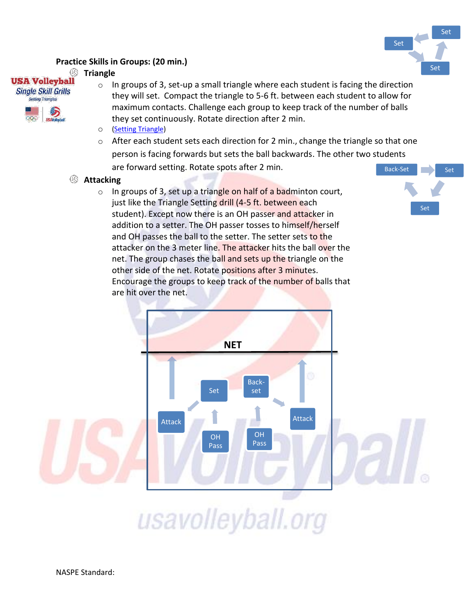

#### **Practice Skills in Groups: (20 min.)**

#### </del> **Triangle**

**USA Volleyball Single Skill Grills** 



- $\circ$  In groups of 3, set-up a small triangle where each student is facing the direction they will set. Compact the triangle to 5-6 ft. between each student to allow for maximum contacts. Challenge each group to keep track of the number of balls they set continuously. Rotate direction after 2 min.
- o [\(Setting Triangle\)](https://usavolleyball.org/video/usav-drill-video-setting-triangle/)
- o After each student sets each direction for 2 min., change the triangle so that one person is facing forwards but sets the ball backwards. The other two students are forward setting. Rotate spots after 2 min.
- **Attacking** 
	- $\circ$  In groups of 3, set up a triangle on half of a badminton court, just like the Triangle Setting drill (4-5 ft. between each student). Except now there is an OH passer and attacker in addition to a setter. The OH passer tosses to himself/herself and OH passes the ball to the setter. The setter sets to the attacker on the 3 meter line. The attacker hits the ball over the net. The group chases the ball and sets up the triangle on the other side of the net. Rotate positions after 3 minutes. Encourage the groups to keep track of the number of balls that are hit over the net.



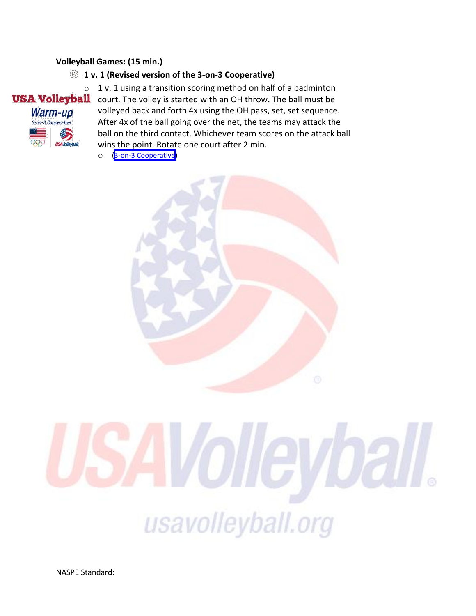#### **Volleyball Games: (15 min.)**

# **1 v. 1 (Revised version of the 3-on-3 Cooperative)**



 $\circ$  1 v. 1 using a transition scoring method on half of a badminton **USA Volleyball** court. The volley is started with an OH throw. The ball must be court. The volley is started with an OH throw. The ball must be volleyed back and forth 4x using the OH pass, set, set sequence. After 4x of the ball going over the net, the teams may attack the ball on the third contact. Whichever team scores on the attack ball wins the point. Rotate one court after 2 min.

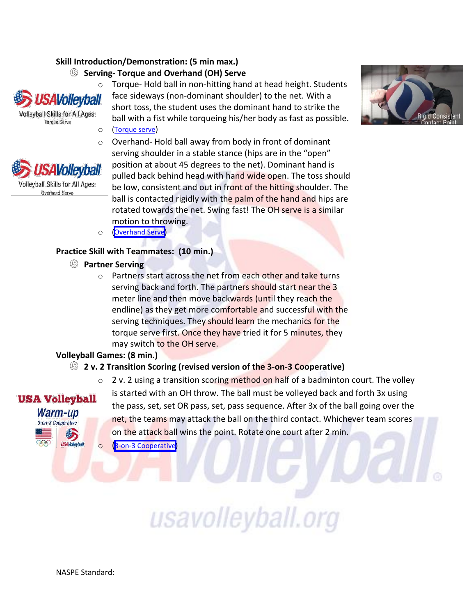#### **Skill Introduction/Demonstration: (5 min max.)**

**Serving- Torque and Overhand (OH) Serve** 



**Volleyball Skills for All Ages: Torque Serve** 



Warm-up 3-on-3 Cooperative

> 鋂 **USAVolleyb**

o Torque- Hold ball in non-hitting hand at head height. Students face sideways (non-dominant shoulder) to the net. With a short toss, the student uses the dominant hand to strike the ball with a fist while torqueing his/her body as fast as possible. o [\(Torque serve](https://usavolleyball.org/video/usav-skill-video-torque-serve/))

o Overhand- Hold ball away from body in front of dominant serving shoulder in a stable stance (hips are in the "open" position at about 45 degrees to the net). Dominant hand is pulled back behind head with hand wide open. The toss should be low, consistent and out in front of the hitting shoulder. The ball is contacted rigidly with the palm of the hand and hips are rotated towards the net. Swing fast! The OH serve is a similar motion to throwing.

o [\(Overhand Serve\)](http://www.teamusa.org/USA-Volleyball/Video/2013/12/13/USAV-Skill-Video-Overhand-Serving?channel=AxaDRnazoIZ1U8fo-4cLMzn4EDvtFICe)

#### **Practice Skill with Teammates: (10 min.)**

- **Partner Serving** 
	- o Partners start across the net from each other and take turns serving back and forth. The partners should start near the 3 meter line and then move backwards (until they reach the endline) as they get more comfortable and successful with the serving techniques. They should learn the mechanics for the torque serve first. Once they have tried it for 5 minutes, they may switch to the OH serve.

#### **Volleyball Games: (8 min.)**

### **2 v. 2 Transition Scoring (revised version of the 3-on-3 Cooperative)**

 $\circ$  2 v. 2 using a transition scoring method on half of a badminton court. The volley is started with an OH throw. The ball must be volleyed back and forth 3x using **USA Volleyball** the pass, set, set OR pass, set, pass sequence. After 3x of the ball going over the net, the teams may attack the ball on the third contact. Whichever team scores on the attack ball wins the point. Rotate one court after 2 min.

usavolleyball.org

o ([3-on-3 Cooperative\)](http://www.teamusa.org/USA-Volleyball/Video/2013/12/13/USAV-Drill-Video-3-on-3-Cooperative?channel=AxaDRnazoIZ1U8fo-4cLMzn4EDvtFICe)

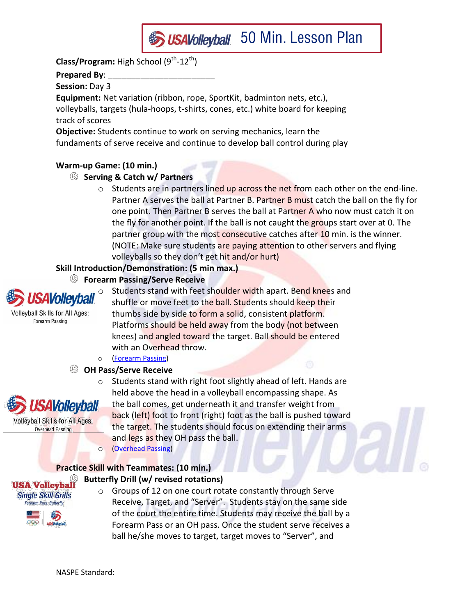

# **Prepared By**: \_\_\_\_\_\_\_\_\_\_\_\_\_\_\_\_\_\_\_\_\_\_\_

**Session:** Day 3

**Equipment:** Net variation (ribbon, rope, SportKit, badminton nets, etc.), volleyballs, targets (hula-hoops, t-shirts, cones, etc.) white board for keeping track of scores

**Objective:** Students continue to work on serving mechanics, learn the fundaments of serve receive and continue to develop ball control during play

# **Warm-up Game: (10 min.)**

# **Serving & Catch w/ Partners**

o Students are in partners lined up across the net from each other on the end-line. Partner A serves the ball at Partner B. Partner B must catch the ball on the fly for one point. Then Partner B serves the ball at Partner A who now must catch it on the fly for another point. If the ball is not caught the groups start over at 0. The partner group with the most consecutive catches after 10 min. is the winner. (NOTE: Make sure students are paying attention to other servers and flying volleyballs so they don't get hit and/or hurt)

### **Skill Introduction/Demonstration: (5 min max.)**

#### |⑤ **Forearm Passing/Serve Receive**



Students stand with feet shoulder width apart. Bend knees and shuffle or move feet to the ball. Students should keep their thumbs side by side to form a solid, consistent platform. Platforms should be held away from the body (not between knees) and angled toward the target. Ball should be entered with an Overhead throw.

#### o [\(Forearm Passing\)](http://www.teamusa.org/USA-Volleyball/Video/2013/12/13/USAV-Skill-Video-Forearm-Passing?channel=AxaDRnazoIZ1U8fo-4cLMzn4EDvtFICe)

### **OH Pass/Serve Receive**



o Students stand with right foot slightly ahead of left. Hands are held above the head in a volleyball encompassing shape. As the ball comes, get underneath it and transfer weight from back (left) foot to front (right) foot as the ball is pushed toward the target. The students should focus on extending their arms and legs as they OH pass the ball. o [\(Overhead Passing\)](http://www.teamusa.org/USA-Volleyball/Video/2013/12/13/USAV-Skill-Video-Overhead-Passing?channel=AxaDRnazoIZ1U8fo-4cLMzn4EDvtFICe)

# **Practice Skill with Teammates: (10 min.) Butterfly Drill (w/ revised rotations)**



o Groups of 12 on one court rotate constantly through Serve Receive, Target, and "Server". Students stay on the same side of the court the entire time. Students may receive the ball by a Forearm Pass or an OH pass. Once the student serve receives a ball he/she moves to target, target moves to "Server", and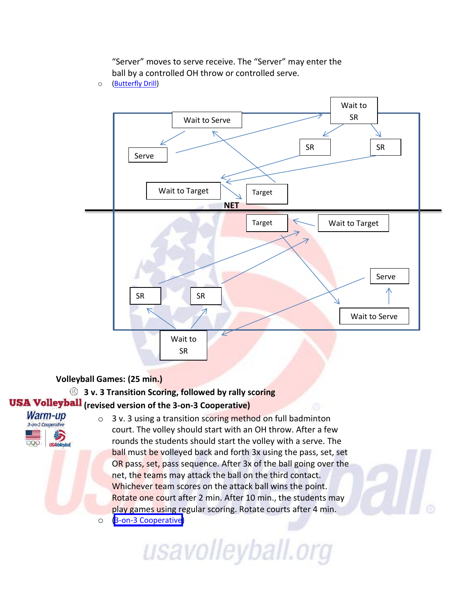

"Server" moves to serve receive. The "Server" may enter the ball by a controlled OH throw or controlled serve.

o [\(Butterfly Drill\)](http://www.teamusa.org/USA-Volleyball/Video/2013/12/13/USAV-Drill-Video-Butterfly-Drill?channel=AxaDRnazoIZ1U8fo-4cLMzn4EDvtFICe)

### **Volleyball Games: (25 min.)**

# **3 v. 3 Transition Scoring, followed by rally scoring USA Volleyball** (revised version of the 3-on-3 Cooperative)

- Warm-up 3-on-3 Cooperative
- o 3 v. 3 using a transition scoring method on full badminton court. The volley should start with an OH throw. After a few rounds the students should start the volley with a serve. The ball must be volleyed back and forth 3x using the pass, set, set OR pass, set, pass sequence. After 3x of the ball going over the net, the teams may attack the ball on the third contact. Whichever team scores on the attack ball wins the point. Rotate one court after 2 min. After 10 min., the students may play games using regular scoring. Rotate courts after 4 min. o [\(3-on-3 Cooperative\)](http://www.teamusa.org/USA-Volleyball/Video/2013/12/13/USAV-Drill-Video-3-on-3-Cooperative?channel=AxaDRnazoIZ1U8fo-4cLMzn4EDvtFICe)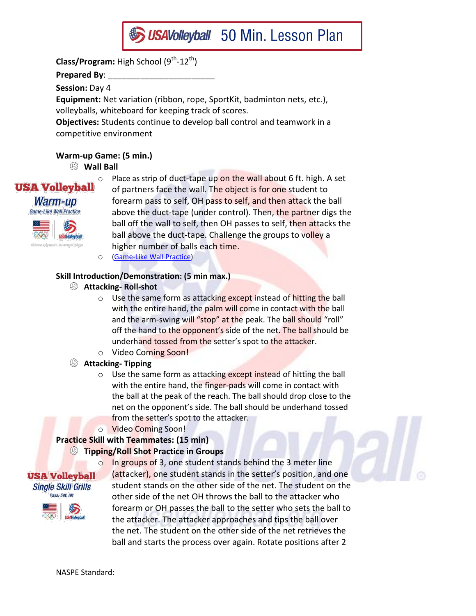

**Prepared By**: \_\_\_\_\_\_\_\_\_\_\_\_\_\_\_\_\_\_\_\_\_\_\_

**Session:** Day 4

**Equipment:** Net variation (ribbon, rope, SportKit, badminton nets, etc.), volleyballs, whiteboard for keeping track of scores.

**Objectives:** Students continue to develop ball control and teamwork in a competitive environment

# **Warm-up Game: (5 min.)**

**Wall Ball** 

**USA Volleyball** Warm-up Game-Like Wall Practice



 $\circ$  Place as strip of duct-tape up on the wall about 6 ft. high. A set of partners face the wall. The object is for one student to forearm pass to self, OH pass to self, and then attack the ball above the duct-tape (under control). Then, the partner digs the ball off the wall to self, then OH passes to self, then attacks the ball above the duct-tape. Challenge the groups to volley a higher number of balls each time.

o [\(Game-Like Wall Practice\)](http://www.teamusa.org/USA-Volleyball/Video/2013/12/13/USAV-Drill-Video-Game-Like-Wall-Practice?channel=AxaDRnazoIZ1U8fo-4cLMzn4EDvtFICe)

### **Skill Introduction/Demonstration: (5 min max.)**

- **Attacking- Roll-shot**
	- $\circ$  Use the same form as attacking except instead of hitting the ball with the entire hand, the palm will come in contact with the ball and the arm-swing will "stop" at the peak. The ball should "roll" off the hand to the opponent's side of the net. The ball should be underhand tossed from the setter's spot to the attacker.
	- o Video Coming Soon!
- **Attacking- Tipping**
	- $\circ$  Use the same form as attacking except instead of hitting the ball with the entire hand, the finger-pads will come in contact with the ball at the peak of the reach. The ball should drop close to the net on the opponent's side. The ball should be underhand tossed from the setter's spot to the attacker.
	- o Video Coming Soon!

# **Practice Skill with Teammates: (15 min)**

### **Tipping/Roll Shot Practice in Groups**

**USA Volleyball Single Skill Grills** Pass, Set, Hit

o In groups of 3, one student stands behind the 3 meter line (attacker), one student stands in the setter's position, and one student stands on the other side of the net. The student on the other side of the net OH throws the ball to the attacker who forearm or OH passes the ball to the setter who sets the ball to the attacker. The attacker approaches and tips the ball over the net. The student on the other side of the net retrieves the ball and starts the process over again. Rotate positions after 2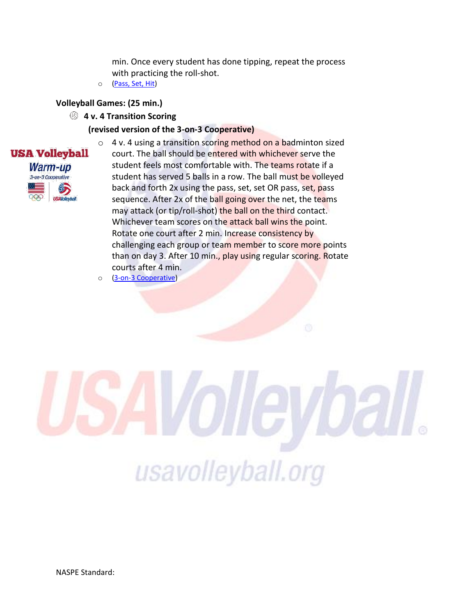min. Once every student has done tipping, repeat the process with practicing the roll-shot.

o [\(Pass, Set, Hit\)](http://www.teamusa.org/USA-Volleyball/Video/2013/12/13/USAV-Drill-Video-Pass-Set-Hit?channel=AxaDRnazoIZ1U8fo-4cLMzn4EDvtFICe)

#### **Volleyball Games: (25 min.)**

**4 v. 4 Transition Scoring** 

#### **(revised version of the 3-on-3 Cooperative)**



- o 4 v. 4 using a transition scoring method on a badminton sized court. The ball should be entered with whichever serve the student feels most comfortable with. The teams rotate if a student has served 5 balls in a row. The ball must be volleyed back and forth 2x using the pass, set, set OR pass, set, pass sequence. After 2x of the ball going over the net, the teams may attack (or tip/roll-shot) the ball on the third contact. Whichever team scores on the attack ball wins the point. Rotate one court after 2 min. Increase consistency by challenging each group or team member to score more points than on day 3. After 10 min., play using regular scoring. Rotate courts after 4 min.
- o [\(3-on-3 Cooperative\)](https://usavolleyball.org/video/usav-drill-video-3-on-3-cooperative/)

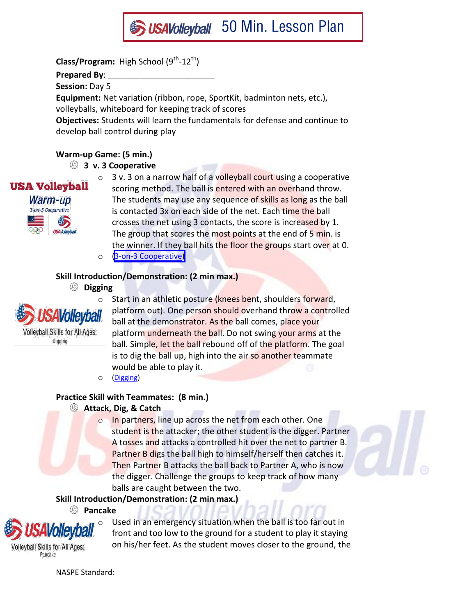

**Prepared By**: \_\_\_\_\_\_\_\_\_\_\_\_\_\_\_\_\_\_\_\_\_\_\_

**Session:** Day 5

**Equipment:** Net variation (ribbon, rope, SportKit, badminton nets, etc.),

volleyballs, whiteboard for keeping track of scores

**Objectives:** Students will learn the fundamentals for defense and continue to develop ball control during play

# **Warm-up Game: (5 min.)**

# **3 v. 3 Cooperative**



o 3 v. 3 on a narrow half of a volleyball court using a cooperative scoring method. The ball is entered with an overhand throw. The students may use any sequence of skills as long as the ball is contacted 3x on each side of the net. Each time the ball crosses the net using 3 contacts, the score is increased by 1. The group that scores the most points at the end of 5 min. is the winner. If they ball hits the floor the groups start over at 0.

o [\(3-on-3 Cooperative](http://www.teamusa.org/USA-Volleyball/Video/2013/12/13/USAV-Drill-Video-3-on-3-Cooperative?channel=AxaDRnazoIZ1U8fo-4cLMzn4EDvtFICe)[\)](https://usavolleyball.org/video/usav-drill-video-3-on-3-cooperative/)

# **Skill Introduction/Demonstration: (2 min max.)**

# **Digging**



**Volleyball Skills for All Ages:** Digging

o Start in an athletic posture (knees bent, shoulders forward, platform out). One person should overhand throw a controlled ball at the demonstrator. As the ball comes, place your platform underneath the ball. Do not swing your arms at the ball. Simple, let the ball rebound off of the platform. The goal is to dig the ball up, high into the air so another teammate would be able to play it.

o [\(Digging\)](http://www.teamusa.org/USA-Volleyball/Video/2013/12/13/USAV-Skill-Video-Digging?channel=AxaDRnazoIZ1U8fo-4cLMzn4EDvtFICe)

# **Practice Skill with Teammates: (8 min.)**

# **Attack, Dig, & Catch**

o In partners, line up across the net from each other. One student is the attacker; the other student is the digger. Partner A tosses and attacks a controlled hit over the net to partner B. Partner B digs the ball high to himself/herself then catches it. Then Partner B attacks the ball back to Partner A, who is now the digger. Challenge the groups to keep track of how many balls are caught between the two.

# **Skill Introduction/Demonstration: (2 min max.)**

### **Pancake**



**Volleyball Skills for All Ages:** Pancake

Used in an emergency situation when the ball is too far out in front and too low to the ground for a student to play it staying on his/her feet. As the student moves closer to the ground, the

NASPE Standard: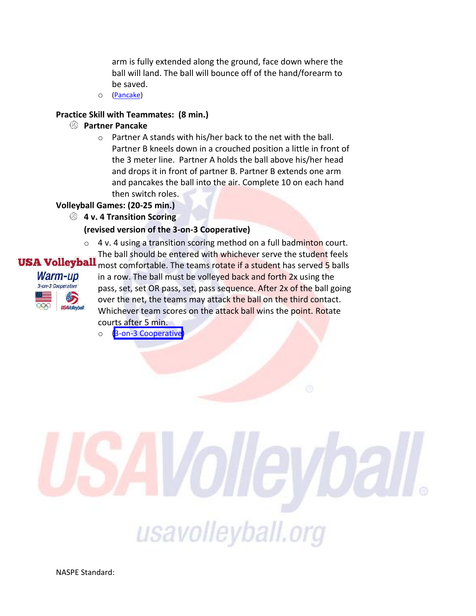arm is fully extended along the ground, face down where the ball will land. The ball will bounce off of the hand/forearm to be saved.

o [\(Pancake\)](http://www.teamusa.org/USA-Volleyball/Video/2013/12/13/USAV-Skill-Video-Pancake?channel=AxaDRnazoIZ1U8fo-4cLMzn4EDvtFICe)

#### **Practice Skill with Teammates: (8 min.)**

#### **Partner Pancake**

o Partner A stands with his/her back to the net with the ball. Partner B kneels down in a crouched position a little in front of the 3 meter line. Partner A holds the ball above his/her head and drops it in front of partner B. Partner B extends one arm and pancakes the ball into the air. Complete 10 on each hand then switch roles.

#### **Volleyball Games: (20-25 min.)**

#### **4 v. 4 Transition Scoring**

#### **(revised version of the 3-on-3 Cooperative)**

o 4 v. 4 using a transition scoring method on a full badminton court. The ball should be entered with whichever serve the student feels



most comfortable. The teams rotate if a student has served 5 balls in a row. The ball must be volleyed back and forth 2x using the pass, set, set OR pass, set, pass sequence. After 2x of the ball going over the net, the teams may attack the ball on the third contact. Whichever team scores on the attack ball wins the point. Rotate courts after 5 min.

o [\(3-on-3 Cooperative\)](http://www.teamusa.org/USA-Volleyball/Video/2013/12/13/USAV-Drill-Video-3-on-3-Cooperative?channel=AxaDRnazoIZ1U8fo-4cLMzn4EDvtFICe)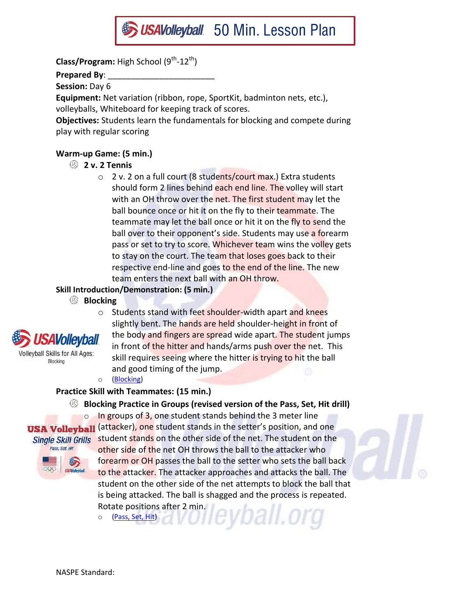

**Prepared By**: \_\_\_\_\_\_\_\_\_\_\_\_\_\_\_\_\_\_\_\_\_\_\_

**Session:** Day 6

**Equipment:** Net variation (ribbon, rope, SportKit, badminton nets, etc.),

volleyballs, Whiteboard for keeping track of scores.

**Objectives:** Students learn the fundamentals for blocking and compete during play with regular scoring

# **Warm-up Game: (5 min.)**

- **2 v. 2 Tennis** 
	- o 2 v. 2 on a full court (8 students/court max.) Extra students should form 2 lines behind each end line. The volley will start with an OH throw over the net. The first student may let the ball bounce once or hit it on the fly to their teammate. The teammate may let the ball once or hit it on the fly to send the ball over to their opponent's side. Students may use a forearm pass or set to try to score. Whichever team wins the volley gets to stay on the court. The team that loses goes back to their respective end-line and goes to the end of the line. The new team enters the next ball with an OH throw.

# **Skill Introduction/Demonstration: (5 min.)**

**Blocking**



olleyball Skills for All Ages: Blocking

and good timing of the jump. o [\(Blocking\)](http://www.teamusa.org/USA-Volleyball/Video/2013/12/13/USAV-Skill-Video-Blocking?channel=AxaDRnazoIZ1U8fo-4cLMzn4EDvtFICe)

# **Practice Skill with Teammates: (15 min.)**

# **Blocking Practice in Groups (revised version of the Pass, Set, Hit drill)**

o Students stand with feet shoulder-width apart and knees

slightly bent. The hands are held shoulder-height in front of the body and fingers are spread wide apart. The student jumps in front of the hitter and hands/arms push over the net. This skill requires seeing where the hitter is trying to hit the ball

 $\circ$  In groups of 3, one student stands behind the 3 meter line **USA Volleyball** (attacker), one student stands in the setter's position, and one Pass, Set, Hit



Single Skill Grills student stands on the other side of the net. The student on the other side of the net OH throws the ball to the attacker who forearm or OH passes the ball to the setter who sets the ball back to the attacker. The attacker approaches and attacks the ball. The student on the other side of the net attempts to block the ball that is being attacked. The ball is shagged and the process is repeated. Rotate positions after 2 min. yball.org

o [\(Pass, Set, Hit\)](http://www.teamusa.org/USA-Volleyball/Video/2013/12/13/USAV-Drill-Video-Pass-Set-Hit?channel=AxaDRnazoIZ1U8fo-4cLMzn4EDvtFICe)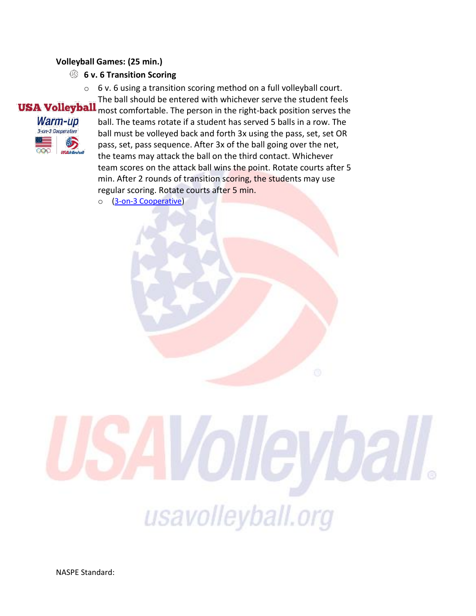#### **Volleyball Games: (25 min.)**

- **6 v. 6 Transition Scoring** 
	- $\circ$  6 v. 6 using a transition scoring method on a full volleyball court. The ball should be entered with whichever serve the student feels



most comfortable. The person in the right-back position serves the ball. The teams rotate if a student has served 5 balls in a row. The ball must be volleyed back and forth 3x using the pass, set, set OR pass, set, pass sequence. After 3x of the ball going over the net, the teams may attack the ball on the third contact. Whichever team scores on the attack ball wins the point. Rotate courts after 5 min. After 2 rounds of transition scoring, the students may use regular scoring. Rotate courts after 5 min.

o [\(3-on-3 Cooperative\)](https://usavolleyball.org/video/usav-drill-video-3-on-3-cooperative/)

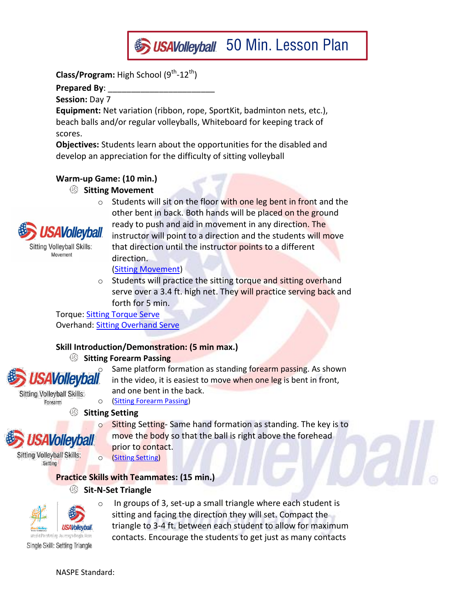

**Prepared By**: \_\_\_\_\_\_\_\_\_\_\_\_\_\_\_\_\_\_\_\_\_\_\_

Movement

**Session:** Day 7

**Equipment:** Net variation (ribbon, rope, SportKit, badminton nets, etc.), beach balls and/or regular volleyballs, Whiteboard for keeping track of scores.

**Objectives:** Students learn about the opportunities for the disabled and develop an appreciation for the difficulty of sitting volleyball

# **Warm-up Game: (10 min.)**

# **Sitting Movement**

 $\circ$  Students will sit on the floor with one leg bent in front and the other bent in back. Both hands will be placed on the ground ready to push and aid in movement in any direction. The **4Vollevball** instructor will point to a direction and the students will move **Sitting Volleyball Skills:** that direction until the instructor points to a different

[\(Sitting Movement\)](http://www.teamusa.org/USA-Volleyball/Video/2013/12/13/USAV-Para-Skill-Video-Movement?channel=QyZXBqazrPeQLXatSciPRt7gdttUGU5I)

direction.

Students will practice the sitting torque and sitting overhand serve over a 3.4 ft. high net. They will practice serving back and forth for 5 min.

Torque: [Sitting Torque Serve](http://www.teamusa.org/USA-Volleyball/Video/2013/12/13/USAV-Para-Skill-Video-Serve-Torque?channel=QyZXBqazrPeQLXatSciPRt7gdttUGU5I) Overhand: [Sitting Overhand Serve](http://www.teamusa.org/USA-Volleyball/Video/2013/12/13/USAV-Para-Skill-Video-Serve-Overhead?channel=QyZXBqazrPeQLXatSciPRt7gdttUGU5I)

### **Skill Introduction/Demonstration: (5 min max.)**

### **Sitting Forearm Passing**

Same platform formation as standing forearm passing. As shown<br>**SAVOIICYDAII** in the video, it is easiest to move when one leg is bent in front, in the video, it is easiest to move when one leg is bent in front, and one bent in the back.

o [\(Sitting Forearm Passing\)](http://www.teamusa.org/USA-Volleyball/Video/2013/12/13/USAV-Para-Skill-Video-Forearm-Passing?channel=QyZXBqazrPeQLXatSciPRt7gdttUGU5I)

# **Sitting Setting**

- o Sitting Setting- Same hand formation as standing. The key is to move the body so that the ball is right above the forehead prior to contact.
- o [\(Sitting Setting\)](http://www.teamusa.org/USA-Volleyball/Video/2013/12/13/USAV-Para-Skill-Video-Setting?channel=QyZXBqazrPeQLXatSciPRt7gdttUGU5I)

# **Practice Skills with Teammates: (15 min.)**

# **Sit-N-Set Triangle**



*AVollevball* 

Sitting Volleyball Skills: Forearm

**Sitting Volleyball Skills:** Setting

> o In groups of 3, set-up a small triangle where each student is sitting and facing the direction they will set. Compact the triangle to 3-4 ft. between each student to allow for maximum contacts. Encourage the students to get just as many contacts

Single Skill: Setting Triangle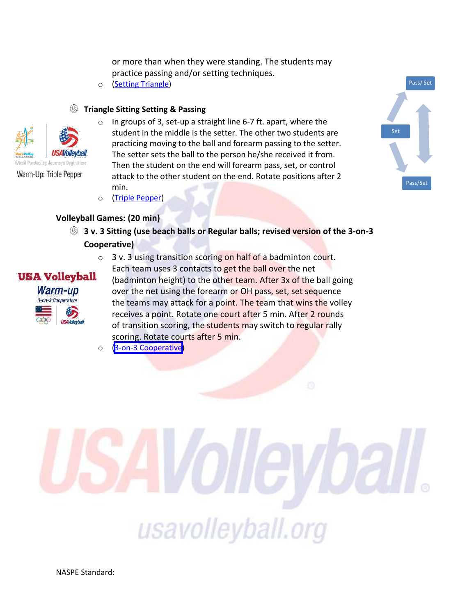or more than when they were standing. The students may practice passing and/or setting techniques.

o [\(Setting Triangle\)](http://www.teamusa.org/USA-Volleyball/Video/2013/12/13/USAV-Para-Drill-Video-Setting-Triangle?channel=QyZXBqazrPeQLXatSciPRt7gdttUGU5I)

#### **Triangle Sitting Setting & Passing**



Warm-Up: Triple Pepper

**USA Volleyball** Warm-up 3-on-3 Cooperative

- $\circ$  In groups of 3, set-up a straight line 6-7 ft. apart, where the student in the middle is the setter. The other two students are practicing moving to the ball and forearm passing to the setter. The setter sets the ball to the person he/she received it from. Then the student on the end will forearm pass, set, or control attack to the other student on the end. Rotate positions after 2 min.
- o [\(Triple Pepper\)](http://www.teamusa.org/USA-Volleyball/Video/2013/12/13/USAV-Para-Drill-Video-Triple-Pepper?channel=QyZXBqazrPeQLXatSciPRt7gdttUGU5I)

#### **Volleyball Games: (20 min)**

- **3 v. 3 Sitting (use beach balls or Regular balls; revised version of the 3-on-3 Cooperative)** 
	- o 3 v. 3 using transition scoring on half of a badminton court. Each team uses 3 contacts to get the ball over the net (badminton height) to the other team. After 3x of the ball going over the net using the forearm or OH pass, set, set sequence the teams may attack for a point. The team that wins the volley receives a point. Rotate one court after 5 min. After 2 rounds of transition scoring, the students may switch to regular rally scoring. Rotate courts after 5 min.
	- o [\(3-on-3 Cooperative\)](http://www.teamusa.org/USA-Volleyball/Video/2013/12/13/USAV-Drill-Video-3-on-3-Cooperative?channel=AxaDRnazoIZ1U8fo-4cLMzn4EDvtFICe)

Pass/ Set Pass/Set Set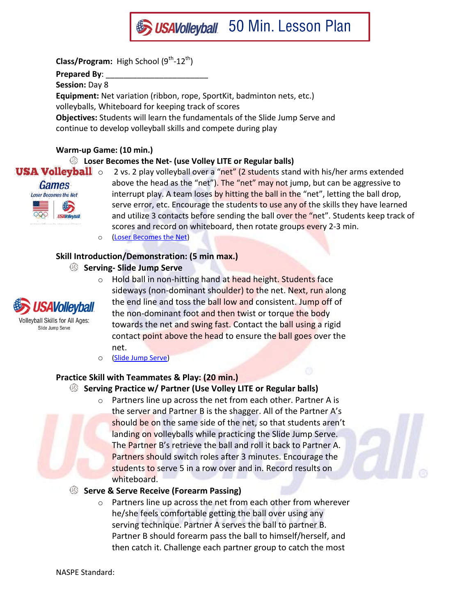

**Prepared By**: \_\_\_\_\_\_\_\_\_\_\_\_\_\_\_\_\_\_\_\_\_\_\_

**Session:** Day 8

**Equipment:** Net variation (ribbon, rope, SportKit, badminton nets, etc.)

volleyballs, Whiteboard for keeping track of scores

**Objectives:** Students will learn the fundamentals of the Slide Jump Serve and continue to develop volleyball skills and compete during play

#### **Warm-up Game: (10 min.)**

# **Loser Becomes the Net- (use Volley LITE or Regular balls)**



**USA Volleyball**  $\circ$  2 vs. 2 play volleyball over a "net" (2 students stand with his/her arms extended above the head as the "net"). The "net" may not jump, but can be aggressive to interrupt play. A team loses by hitting the ball in the "net", letting the ball drop, serve error, etc. Encourage the students to use any of the skills they have learned and utilize 3 contacts before sending the ball over the "net". Students keep track of scores and record on whiteboard, then rotate groups every 2-3 min.

# **Skill Introduction/Demonstration: (5 min max.)**

**Serving- Slide Jump Serve**



Slide Jump Serve

o Hold ball in non-hitting hand at head height. Students face sideways (non-dominant shoulder) to the net. Next, run along the end line and toss the ball low and consistent. Jump off of the non-dominant foot and then twist or torque the body towards the net and swing fast. Contact the ball using a rigid contact point above the head to ensure the ball goes over the net.

o [\(Slide Jump Serve\)](http://www.teamusa.org/USA-Volleyball/Video/2013/12/13/USAV-Skill-Video-Slide-Jump-Serve?channel=AxaDRnazoIZ1U8fo-4cLMzn4EDvtFICe#ooid=JzMHNpaTqZuBt2HPPCWdHYytQWWjY2Dh)

### **Practice Skill with Teammates & Play: (20 min.)**

### **Serving Practice w/ Partner (Use Volley LITE or Regular balls)**

o Partners line up across the net from each other. Partner A is the server and Partner B is the shagger. All of the Partner A's should be on the same side of the net, so that students aren't landing on volleyballs while practicing the Slide Jump Serve. The Partner B's retrieve the ball and roll it back to Partner A. Partners should switch roles after 3 minutes. Encourage the students to serve 5 in a row over and in. Record results on whiteboard.

### **Serve & Serve Receive (Forearm Passing)**

o Partners line up across the net from each other from wherever he/she feels comfortable getting the ball over using any serving technique. Partner A serves the ball to partner B. Partner B should forearm pass the ball to himself/herself, and then catch it. Challenge each partner group to catch the most

o [\(Loser Becomes the Net\)](http://www.teamusa.org/USA-Volleyball/Video/2013/12/13/USAV-Drill-Video-Loser-Becomes-the-Net?channel=AxaDRnazoIZ1U8fo-4cLMzn4EDvtFICe)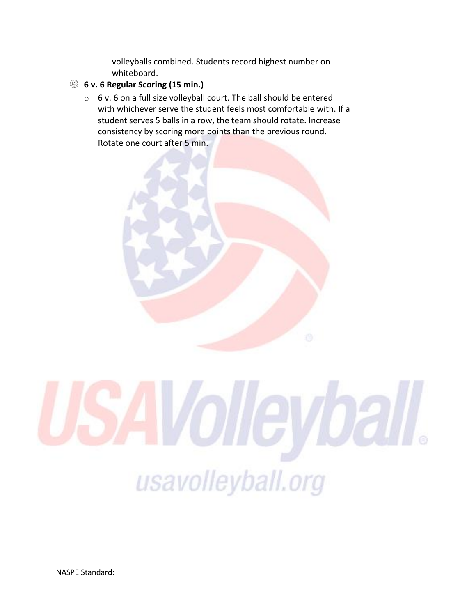volleyballs combined. Students record highest number on whiteboard.

# **6 v. 6 Regular Scoring (15 min.)**

o 6 v. 6 on a full size volleyball court. The ball should be entered with whichever serve the student feels most comfortable with. If a student serves 5 balls in a row, the team should rotate. Increase consistency by scoring more points than the previous round. Rotate one court after 5 min.





NASPE Standard: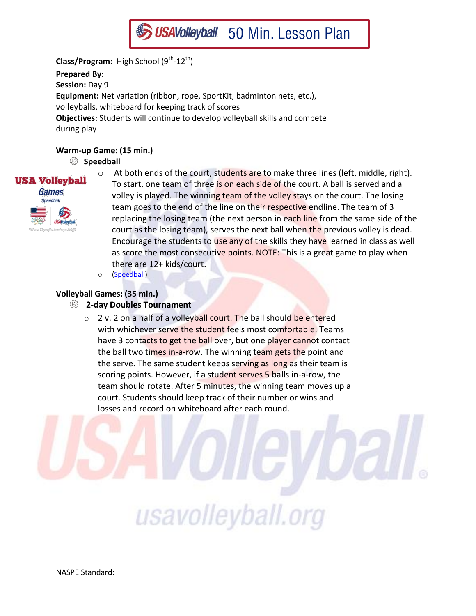

**Class/Program:** High School (9<sup>th</sup>-12<sup>th</sup>) **Prepared By**: \_\_\_\_\_\_\_\_\_\_\_\_\_\_\_\_\_\_\_\_\_\_\_ **Session:** Day 9 **Equipment:** Net variation (ribbon, rope, SportKit, badminton nets, etc.), volleyballs, whiteboard for keeping track of scores **Objectives:** Students will continue to develop volleyball skills and compete during play

#### **Warm-up Game: (15 min.)**

### **Speedball**



- $\circ$  At both ends of the court, students are to make three lines (left, middle, right). To start, one team of three is on each side of the court. A ball is served and a volley is played. The winning team of the volley stays on the court. The losing team goes to the end of the line on their respective endline. The team of 3 replacing the losing team (the next person in each line from the same side of the court as the losing team), serves the next ball when the previous volley is dead. Encourage the students to use any of the skills they have learned in class as well as score the most consecutive points. NOTE: This is a great game to play when there are 12+ kids/court.
- o [\(Speedball\)](http://www.teamusa.org/USA-Volleyball/Video/2013/12/13/USAV-Drill-Video-Speedball?channel=AxaDRnazoIZ1U8fo-4cLMzn4EDvtFICe)

#### **Volleyball Games: (35 min.)**

- **2-day Doubles Tournament** 
	- $\circ$  2 v. 2 on a half of a volleyball court. The ball should be entered with whichever serve the student feels most comfortable. Teams have 3 contacts to get the ball over, but one player cannot contact the ball two times in-a-row. The winning team gets the point and the serve. The same student keeps serving as long as their team is scoring points. However, if a student serves 5 balls in-a-row, the team should rotate. After 5 minutes, the winning team moves up a court. Students should keep track of their number or wins and losses and record on whiteboard after each round.

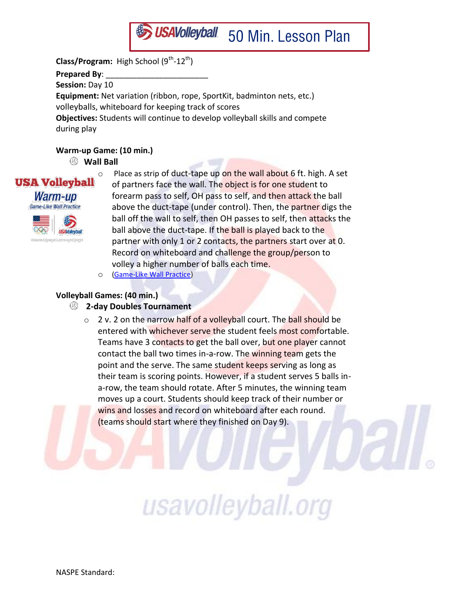

**Class/Program:** High School (9<sup>th</sup>-12<sup>th</sup>) **Prepared By**: \_\_\_\_\_\_\_\_\_\_\_\_\_\_\_\_\_\_\_\_\_\_\_ **Session:** Day 10 **Equipment:** Net variation (ribbon, rope, SportKit, badminton nets, etc.) volleyballs, whiteboard for keeping track of scores **Objectives:** Students will continue to develop volleyball skills and compete during play

#### **Warm-up Game: (10 min.)**

#### **Wall Ball**

**USA Volleyball** Warm-up Game-Like Wall Practice



 $\circ$  Place as strip of duct-tape up on the wall about 6 ft. high. A set of partners face the wall. The object is for one student to forearm pass to self, OH pass to self, and then attack the ball above the duct-tape (under control). Then, the partner digs the ball off the wall to self, then OH passes to self, then attacks the ball above the duct-tape. If the ball is played back to the partner with only 1 or 2 contacts, the partners start over at 0. Record on whiteboard and challenge the group/person to volley a higher number of balls each time.

o [\(Game-Like Wall Practice\)](http://www.teamusa.org/USA-Volleyball/Video/2013/12/13/USAV-Drill-Video-Game-Like-Wall-Practice?channel=AxaDRnazoIZ1U8fo-4cLMzn4EDvtFICe)

#### **Volleyball Games: (40 min.)**

- **2-day Doubles Tournament** 
	- $\circ$  2 v. 2 on the narrow half of a volleyball court. The ball should be entered with whichever serve the student feels most comfortable. Teams have 3 contacts to get the ball over, but one player cannot contact the ball two times in-a-row. The winning team gets the point and the serve. The same student keeps serving as long as their team is scoring points. However, if a student serves 5 balls ina-row, the team should rotate. After 5 minutes, the winning team moves up a court. Students should keep track of their number or wins and losses and record on whiteboard after each round. (teams should start where they finished on Day 9).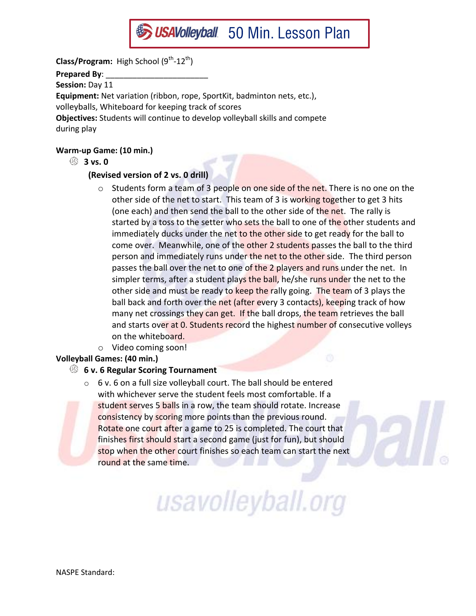

**Prepared By**: \_\_\_\_\_\_\_\_\_\_\_\_\_\_\_\_\_\_\_\_\_\_\_

**Session:** Day 11

**Equipment:** Net variation (ribbon, rope, SportKit, badminton nets, etc.),

volleyballs, Whiteboard for keeping track of scores

**Objectives:** Students will continue to develop volleyball skills and compete during play

# **Warm-up Game: (10 min.)**

**3 vs. 0**

# **(Revised version of 2 vs. 0 drill)**

- $\circ$  Students form a team of 3 people on one side of the net. There is no one on the other side of the net to start. This team of 3 is working together to get 3 hits (one each) and then send the ball to the other side of the net. The rally is started by a toss to the setter who sets the ball to one of the other students and immediately ducks under the net to the other side to get ready for the ball to come over. Meanwhile, one of the other 2 students passes the ball to the third person and immediately runs under the net to the other side. The third person passes the ball over the net to one of the 2 players and runs under the net. In simpler terms, after a student plays the ball, he/she runs under the net to the other side and must be ready to keep the rally going. The team of 3 plays the ball back and forth over the net (after every 3 contacts), keeping track of how many net crossings they can get. If the ball drops, the team retrieves the ball and starts over at 0. Students record the highest number of consecutive volleys on the whiteboard.
- o Video coming soon!

# **Volleyball Games: (40 min.)**

# **6 v. 6 Regular Scoring Tournament**

 $\circ$  6 v. 6 on a full size volleyball court. The ball should be entered with whichever serve the student feels most comfortable. If a student serves 5 balls in a row, the team should rotate. Increase consistency by scoring more points than the previous round. Rotate one court after a game to 25 is completed. The court that finishes first should start a second game (just for fun), but should stop when the other court finishes so each team can start the next round at the same time.